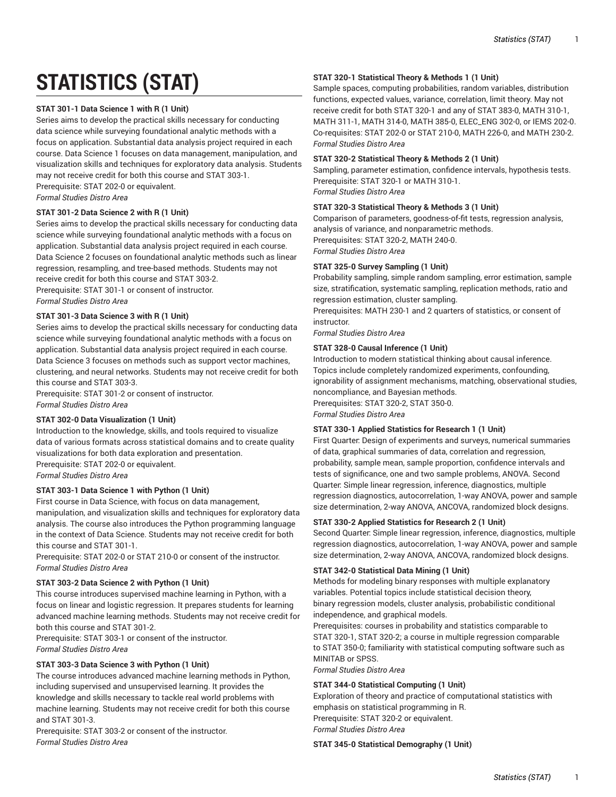# **STATISTICS (STAT)**

## **STAT 301-1 Data Science 1 with R (1 Unit)**

Series aims to develop the practical skills necessary for conducting data science while surveying foundational analytic methods with a focus on application. Substantial data analysis project required in each course. Data Science 1 focuses on data management, manipulation, and visualization skills and techniques for exploratory data analysis. Students may not receive credit for both this course and STAT 303-1. Prerequisite: STAT 202-0 or equivalent.

*Formal Studies Distro Area*

## **STAT 301-2 Data Science 2 with R (1 Unit)**

Series aims to develop the practical skills necessary for conducting data science while surveying foundational analytic methods with a focus on application. Substantial data analysis project required in each course. Data Science 2 focuses on foundational analytic methods such as linear regression, resampling, and tree-based methods. Students may not receive credit for both this course and STAT 303-2. Prerequisite: STAT 301-1 or consent of instructor. *Formal Studies Distro Area*

# **STAT 301-3 Data Science 3 with R (1 Unit)**

Series aims to develop the practical skills necessary for conducting data science while surveying foundational analytic methods with a focus on application. Substantial data analysis project required in each course. Data Science 3 focuses on methods such as support vector machines, clustering, and neural networks. Students may not receive credit for both this course and STAT 303-3.

Prerequisite: STAT 301-2 or consent of instructor. *Formal Studies Distro Area*

# **STAT 302-0 Data Visualization (1 Unit)**

Introduction to the knowledge, skills, and tools required to visualize data of various formats across statistical domains and to create quality visualizations for both data exploration and presentation. Prerequisite: STAT 202-0 or equivalent.

*Formal Studies Distro Area*

# **STAT 303-1 Data Science 1 with Python (1 Unit)**

First course in Data Science, with focus on data management, manipulation, and visualization skills and techniques for exploratory data analysis. The course also introduces the Python programming language in the context of Data Science. Students may not receive credit for both this course and STAT 301-1.

Prerequisite: STAT 202-0 or STAT 210-0 or consent of the instructor. *Formal Studies Distro Area*

# **STAT 303-2 Data Science 2 with Python (1 Unit)**

This course introduces supervised machine learning in Python, with a focus on linear and logistic regression. It prepares students for learning advanced machine learning methods. Students may not receive credit for both this course and STAT 301-2.

Prerequisite: STAT 303-1 or consent of the instructor. *Formal Studies Distro Area*

## **STAT 303-3 Data Science 3 with Python (1 Unit)**

The course introduces advanced machine learning methods in Python, including supervised and unsupervised learning. It provides the knowledge and skills necessary to tackle real world problems with machine learning. Students may not receive credit for both this course and STAT 301-3.

Prerequisite: STAT 303-2 or consent of the instructor. *Formal Studies Distro Area*

## **STAT 320-1 Statistical Theory & Methods 1 (1 Unit)**

Sample spaces, computing probabilities, random variables, distribution functions, expected values, variance, correlation, limit theory. May not receive credit for both STAT 320-1 and any of STAT 383-0, MATH 310-1, MATH 311-1, MATH 314-0, MATH 385-0, ELEC\_ENG 302-0, or IEMS 202-0. Co-requisites: STAT 202-0 or STAT 210-0, MATH 226-0, and MATH 230-2. *Formal Studies Distro Area*

#### **STAT 320-2 Statistical Theory & Methods 2 (1 Unit)**

Sampling, parameter estimation, confidence intervals, hypothesis tests. Prerequisite: STAT 320-1 or MATH 310-1. *Formal Studies Distro Area*

## **STAT 320-3 Statistical Theory & Methods 3 (1 Unit)**

Comparison of parameters, goodness-of-fit tests, regression analysis, analysis of variance, and nonparametric methods. Prerequisites: STAT 320-2, MATH 240-0. *Formal Studies Distro Area*

#### **STAT 325-0 Survey Sampling (1 Unit)**

Probability sampling, simple random sampling, error estimation, sample size, stratification, systematic sampling, replication methods, ratio and regression estimation, cluster sampling.

Prerequisites: MATH 230-1 and 2 quarters of statistics, or consent of instructor.

*Formal Studies Distro Area*

## **STAT 328-0 Causal Inference (1 Unit)**

Introduction to modern statistical thinking about causal inference. Topics include completely randomized experiments, confounding, ignorability of assignment mechanisms, matching, observational studies, noncompliance, and Bayesian methods.

Prerequisites: STAT 320-2, STAT 350-0.

*Formal Studies Distro Area*

#### **STAT 330-1 Applied Statistics for Research 1 (1 Unit)**

First Quarter: Design of experiments and surveys, numerical summaries of data, graphical summaries of data, correlation and regression, probability, sample mean, sample proportion, confidence intervals and tests of significance, one and two sample problems, ANOVA. Second Quarter: Simple linear regression, inference, diagnostics, multiple regression diagnostics, autocorrelation, 1-way ANOVA, power and sample size determination, 2-way ANOVA, ANCOVA, randomized block designs.

#### **STAT 330-2 Applied Statistics for Research 2 (1 Unit)**

Second Quarter: Simple linear regression, inference, diagnostics, multiple regression diagnostics, autocorrelation, 1-way ANOVA, power and sample size determination, 2-way ANOVA, ANCOVA, randomized block designs.

# **STAT 342-0 Statistical Data Mining (1 Unit)**

Methods for modeling binary responses with multiple explanatory variables. Potential topics include statistical decision theory, binary regression models, cluster analysis, probabilistic conditional independence, and graphical models.

Prerequisites: courses in probability and statistics comparable to STAT 320-1, STAT 320-2; a course in multiple regression comparable to STAT 350-0; familiarity with statistical computing software such as MINITAB or SPSS.

*Formal Studies Distro Area*

## **STAT 344-0 Statistical Computing (1 Unit)**

Exploration of theory and practice of computational statistics with emphasis on statistical programming in R. Prerequisite: STAT 320-2 or equivalent. *Formal Studies Distro Area*

**STAT 345-0 Statistical Demography (1 Unit)**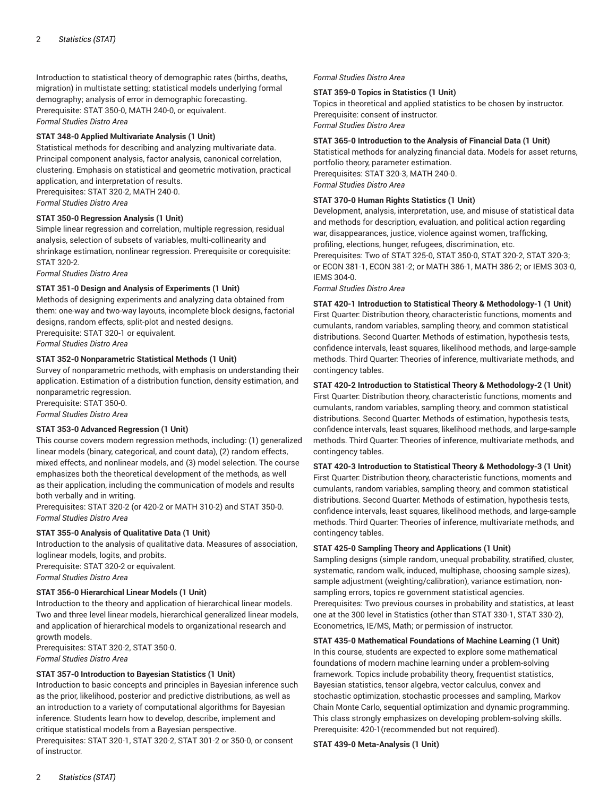Introduction to statistical theory of demographic rates (births, deaths, migration) in multistate setting; statistical models underlying formal demography; analysis of error in demographic forecasting. Prerequisite: STAT 350-0, MATH 240-0, or equivalent. *Formal Studies Distro Area*

## **STAT 348-0 Applied Multivariate Analysis (1 Unit)**

Statistical methods for describing and analyzing multivariate data. Principal component analysis, factor analysis, canonical correlation, clustering. Emphasis on statistical and geometric motivation, practical application, and interpretation of results. Prerequisites: STAT 320-2, MATH 240-0. *Formal Studies Distro Area*

## **STAT 350-0 Regression Analysis (1 Unit)**

Simple linear regression and correlation, multiple regression, residual analysis, selection of subsets of variables, multi-collinearity and shrinkage estimation, nonlinear regression. Prerequisite or corequisite: STAT 320-2.

*Formal Studies Distro Area*

## **STAT 351-0 Design and Analysis of Experiments (1 Unit)**

Methods of designing experiments and analyzing data obtained from them: one-way and two-way layouts, incomplete block designs, factorial designs, random effects, split-plot and nested designs. Prerequisite: STAT 320-1 or equivalent.

*Formal Studies Distro Area*

## **STAT 352-0 Nonparametric Statistical Methods (1 Unit)**

Survey of nonparametric methods, with emphasis on understanding their application. Estimation of a distribution function, density estimation, and nonparametric regression.

Prerequisite: STAT 350-0.

*Formal Studies Distro Area*

#### **STAT 353-0 Advanced Regression (1 Unit)**

This course covers modern regression methods, including: (1) generalized linear models (binary, categorical, and count data), (2) random effects, mixed effects, and nonlinear models, and (3) model selection. The course emphasizes both the theoretical development of the methods, as well as their application, including the communication of models and results both verbally and in writing.

Prerequisites: STAT 320-2 (or 420-2 or MATH 310-2) and STAT 350-0. *Formal Studies Distro Area*

#### **STAT 355-0 Analysis of Qualitative Data (1 Unit)**

Introduction to the analysis of qualitative data. Measures of association, loglinear models, logits, and probits.

Prerequisite: STAT 320-2 or equivalent.

*Formal Studies Distro Area*

#### **STAT 356-0 Hierarchical Linear Models (1 Unit)**

Introduction to the theory and application of hierarchical linear models. Two and three level linear models, hierarchical generalized linear models, and application of hierarchical models to organizational research and growth models.

Prerequisites: STAT 320-2, STAT 350-0. *Formal Studies Distro Area*

#### **STAT 357-0 Introduction to Bayesian Statistics (1 Unit)**

Introduction to basic concepts and principles in Bayesian inference such as the prior, likelihood, posterior and predictive distributions, as well as an introduction to a variety of computational algorithms for Bayesian inference. Students learn how to develop, describe, implement and critique statistical models from a Bayesian perspective. Prerequisites: STAT 320-1, STAT 320-2, STAT 301-2 or 350-0, or consent of instructor.

#### *Formal Studies Distro Area*

#### **STAT 359-0 Topics in Statistics (1 Unit)**

Topics in theoretical and applied statistics to be chosen by instructor. Prerequisite: consent of instructor. *Formal Studies Distro Area*

#### **STAT 365-0 Introduction to the Analysis of Financial Data (1 Unit)**

Statistical methods for analyzing financial data. Models for asset returns, portfolio theory, parameter estimation. Prerequisites: STAT 320-3, MATH 240-0. *Formal Studies Distro Area*

# **STAT 370-0 Human Rights Statistics (1 Unit)**

Development, analysis, interpretation, use, and misuse of statistical data and methods for description, evaluation, and political action regarding war, disappearances, justice, violence against women, trafficking, profiling, elections, hunger, refugees, discrimination, etc.

Prerequisites: Two of STAT 325-0, STAT 350-0, STAT 320-2, STAT 320-3; or ECON 381-1, ECON 381-2; or MATH 386-1, MATH 386-2; or IEMS 303-0, IEMS 304-0.

*Formal Studies Distro Area*

**STAT 420-1 Introduction to Statistical Theory & Methodology-1 (1 Unit)** First Quarter: Distribution theory, characteristic functions, moments and cumulants, random variables, sampling theory, and common statistical distributions. Second Quarter: Methods of estimation, hypothesis tests, confidence intervals, least squares, likelihood methods, and large-sample methods. Third Quarter: Theories of inference, multivariate methods, and contingency tables.

## **STAT 420-2 Introduction to Statistical Theory & Methodology-2 (1 Unit)**

First Quarter: Distribution theory, characteristic functions, moments and cumulants, random variables, sampling theory, and common statistical distributions. Second Quarter: Methods of estimation, hypothesis tests, confidence intervals, least squares, likelihood methods, and large-sample methods. Third Quarter: Theories of inference, multivariate methods, and contingency tables.

**STAT 420-3 Introduction to Statistical Theory & Methodology-3 (1 Unit)** First Quarter: Distribution theory, characteristic functions, moments and cumulants, random variables, sampling theory, and common statistical distributions. Second Quarter: Methods of estimation, hypothesis tests, confidence intervals, least squares, likelihood methods, and large-sample methods. Third Quarter: Theories of inference, multivariate methods, and contingency tables.

## **STAT 425-0 Sampling Theory and Applications (1 Unit)**

Sampling designs (simple random, unequal probability, stratified, cluster, systematic, random walk, induced, multiphase, choosing sample sizes), sample adjustment (weighting/calibration), variance estimation, nonsampling errors, topics re government statistical agencies. Prerequisites: Two previous courses in probability and statistics, at least one at the 300 level in Statistics (other than STAT 330-1, STAT 330-2), Econometrics, IE/MS, Math; or permission of instructor.

## **STAT 435-0 Mathematical Foundations of Machine Learning (1 Unit)**

In this course, students are expected to explore some mathematical foundations of modern machine learning under a problem-solving framework. Topics include probability theory, frequentist statistics, Bayesian statistics, tensor algebra, vector calculus, convex and stochastic optimization, stochastic processes and sampling, Markov Chain Monte Carlo, sequential optimization and dynamic programming. This class strongly emphasizes on developing problem-solving skills. Prerequisite: 420-1(recommended but not required).

#### **STAT 439-0 Meta-Analysis (1 Unit)**